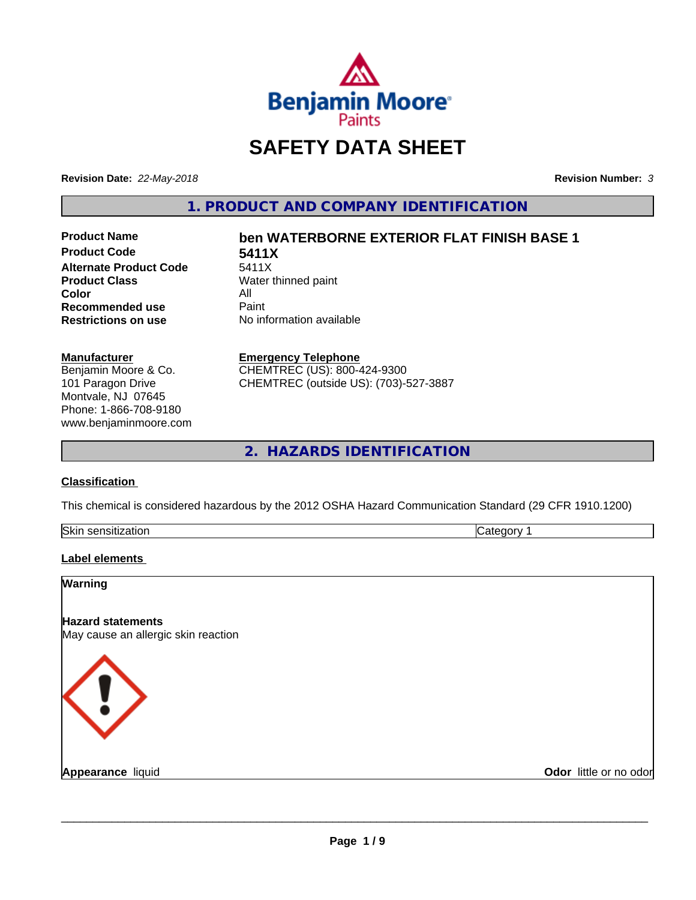

# **SAFETY DATA SHEET**

**Revision Date:** *22-May-2018* **Revision Number:** *3*

**1. PRODUCT AND COMPANY IDENTIFICATION**

**Product Code 5411X**<br>Alternate Product Code 5411X **Alternate Product Code**<br>Product Class **Color** All<br> **Recommended use** Paint **Recommended use**<br>Restrictions on use

# **Product Name ben WATERBORNE EXTERIOR FLAT FINISH BASE 1**

**Water thinned paint Restrictions on use** No information available

### **Manufacturer**

Benjamin Moore & Co. 101 Paragon Drive Montvale, NJ 07645 Phone: 1-866-708-9180 www.benjaminmoore.com

### **Emergency Telephone**

CHEMTREC (US): 800-424-9300 CHEMTREC (outside US): (703)-527-3887

**2. HAZARDS IDENTIFICATION**

## **Classification**

This chemical is considered hazardous by the 2012 OSHA Hazard Communication Standard (29 CFR 1910.1200)

| Skin<br>.<br>auor<br>. | . |
|------------------------|---|

## **Label elements**

| <b>Warning</b>                                                  |                        |
|-----------------------------------------------------------------|------------------------|
| <b>Hazard statements</b><br>May cause an allergic skin reaction |                        |
| <b>KI)</b>                                                      |                        |
| <b>Appearance liquid</b>                                        | Odor little or no odor |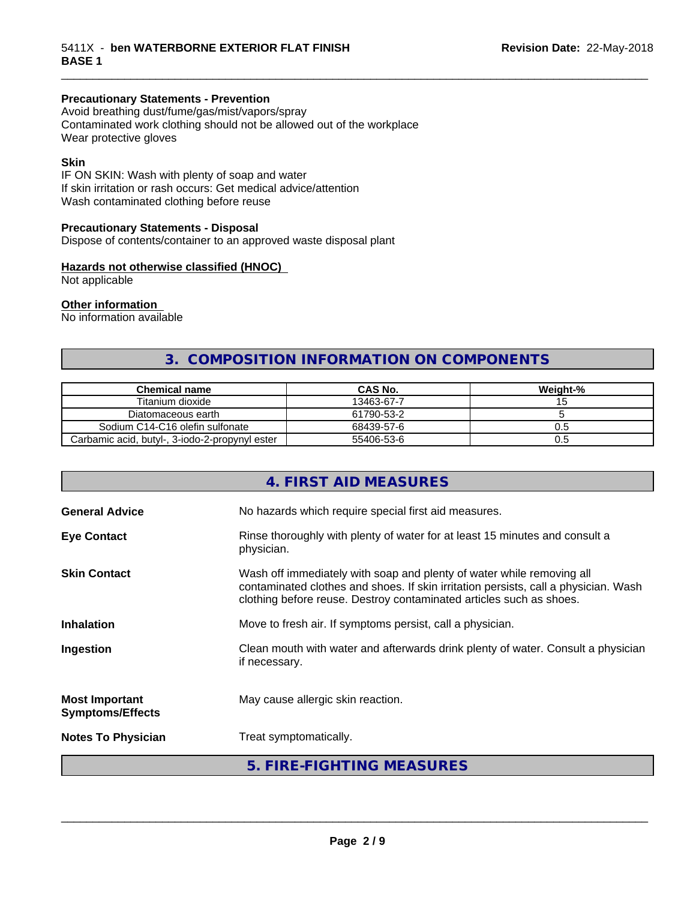## **Precautionary Statements - Prevention**

Avoid breathing dust/fume/gas/mist/vapors/spray Contaminated work clothing should not be allowed out of the workplace Wear protective gloves

## **Skin**

IF ON SKIN: Wash with plenty of soap and water If skin irritation or rash occurs: Get medical advice/attention Wash contaminated clothing before reuse

## **Precautionary Statements - Disposal**

Dispose of contents/container to an approved waste disposal plant

## **Hazards not otherwise classified (HNOC)**

Not applicable

## **Other information**

No information available

## **3. COMPOSITION INFORMATION ON COMPONENTS**

\_\_\_\_\_\_\_\_\_\_\_\_\_\_\_\_\_\_\_\_\_\_\_\_\_\_\_\_\_\_\_\_\_\_\_\_\_\_\_\_\_\_\_\_\_\_\_\_\_\_\_\_\_\_\_\_\_\_\_\_\_\_\_\_\_\_\_\_\_\_\_\_\_\_\_\_\_\_\_\_\_\_\_\_\_\_\_\_\_\_\_\_\_

| <b>Chemical name</b>                           | <b>CAS No.</b> | Weight-% |
|------------------------------------------------|----------------|----------|
| Titanium dioxide                               | 13463-67-7     |          |
| Diatomaceous earth                             | 61790-53-2     |          |
| Sodium C14-C16 olefin sulfonate                | 68439-57-6     | U.5      |
| Carbamic acid, butyl-, 3-iodo-2-propynyl ester | 55406-53-6     | U.5      |

|                                                  | 4. FIRST AID MEASURES                                                                                                                                                                                                               |
|--------------------------------------------------|-------------------------------------------------------------------------------------------------------------------------------------------------------------------------------------------------------------------------------------|
| <b>General Advice</b>                            | No hazards which require special first aid measures.                                                                                                                                                                                |
| <b>Eye Contact</b>                               | Rinse thoroughly with plenty of water for at least 15 minutes and consult a<br>physician.                                                                                                                                           |
| <b>Skin Contact</b>                              | Wash off immediately with soap and plenty of water while removing all<br>contaminated clothes and shoes. If skin irritation persists, call a physician. Wash<br>clothing before reuse. Destroy contaminated articles such as shoes. |
| <b>Inhalation</b>                                | Move to fresh air. If symptoms persist, call a physician.                                                                                                                                                                           |
| Ingestion                                        | Clean mouth with water and afterwards drink plenty of water. Consult a physician<br>if necessary.                                                                                                                                   |
| <b>Most Important</b><br><b>Symptoms/Effects</b> | May cause allergic skin reaction.                                                                                                                                                                                                   |
| <b>Notes To Physician</b>                        | Treat symptomatically.                                                                                                                                                                                                              |
|                                                  | 5. FIRE-FIGHTING MEASURES                                                                                                                                                                                                           |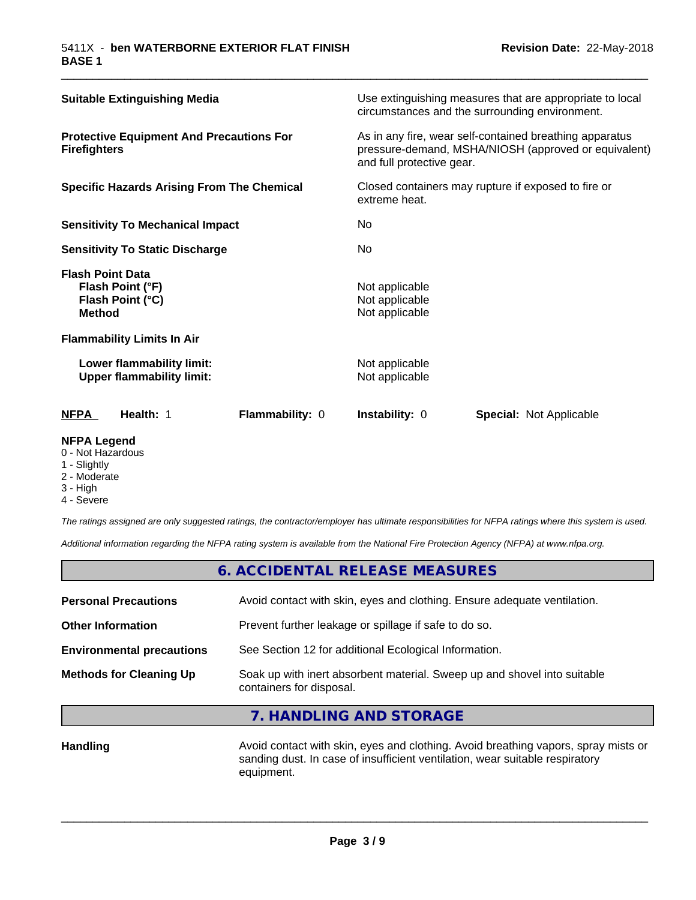| Health: 1<br><b>Flammability: 0</b><br>NFPA                                      | <b>Instability: 0</b><br><b>Special: Not Applicable</b>                                                                                      |
|----------------------------------------------------------------------------------|----------------------------------------------------------------------------------------------------------------------------------------------|
| Lower flammability limit:<br><b>Upper flammability limit:</b>                    | Not applicable<br>Not applicable                                                                                                             |
| <b>Flammability Limits In Air</b>                                                |                                                                                                                                              |
| <b>Flash Point Data</b><br>Flash Point (°F)<br>Flash Point (°C)<br><b>Method</b> | Not applicable<br>Not applicable<br>Not applicable                                                                                           |
| <b>Sensitivity To Static Discharge</b>                                           | No.                                                                                                                                          |
| <b>Sensitivity To Mechanical Impact</b>                                          | No.                                                                                                                                          |
| <b>Specific Hazards Arising From The Chemical</b>                                | Closed containers may rupture if exposed to fire or<br>extreme heat.                                                                         |
| <b>Protective Equipment And Precautions For</b><br><b>Firefighters</b>           | As in any fire, wear self-contained breathing apparatus<br>pressure-demand, MSHA/NIOSH (approved or equivalent)<br>and full protective gear. |
| <b>Suitable Extinguishing Media</b>                                              | Use extinguishing measures that are appropriate to local<br>circumstances and the surrounding environment.                                   |

\_\_\_\_\_\_\_\_\_\_\_\_\_\_\_\_\_\_\_\_\_\_\_\_\_\_\_\_\_\_\_\_\_\_\_\_\_\_\_\_\_\_\_\_\_\_\_\_\_\_\_\_\_\_\_\_\_\_\_\_\_\_\_\_\_\_\_\_\_\_\_\_\_\_\_\_\_\_\_\_\_\_\_\_\_\_\_\_\_\_\_\_\_

## **NFPA Legend**

- 0 Not Hazardous
- 1 Slightly
- 2 Moderate
- 3 High
- 4 Severe

*The ratings assigned are only suggested ratings, the contractor/employer has ultimate responsibilities for NFPA ratings where this system is used.*

*Additional information regarding the NFPA rating system is available from the National Fire Protection Agency (NFPA) at www.nfpa.org.*

## **6. ACCIDENTAL RELEASE MEASURES**

| <b>Personal Precautions</b>      | Avoid contact with skin, eyes and clothing. Ensure adequate ventilation.                             |
|----------------------------------|------------------------------------------------------------------------------------------------------|
| <b>Other Information</b>         | Prevent further leakage or spillage if safe to do so.                                                |
| <b>Environmental precautions</b> | See Section 12 for additional Ecological Information.                                                |
| <b>Methods for Cleaning Up</b>   | Soak up with inert absorbent material. Sweep up and shovel into suitable<br>containers for disposal. |
|                                  |                                                                                                      |

## **7. HANDLING AND STORAGE**

Handling **Handling** Avoid contact with skin, eyes and clothing. Avoid breathing vapors, spray mists or sanding dust. In case of insufficient ventilation, wear suitable respiratory equipment.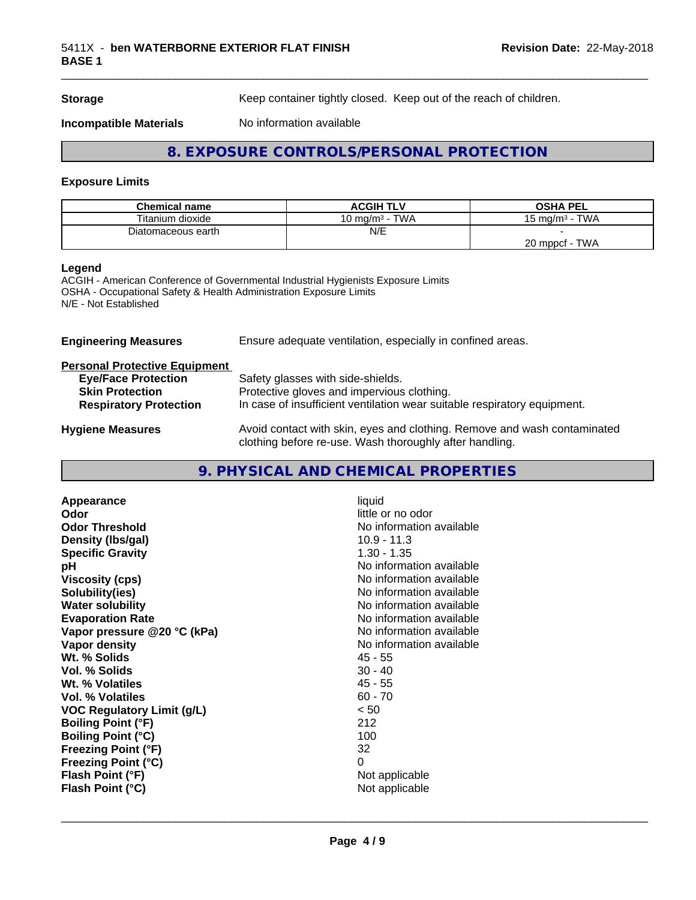**Storage** Keep container tightly closed. Keep out of the reach of children.

**Incompatible Materials** No information available

## **8. EXPOSURE CONTROLS/PERSONAL PROTECTION**

## **Exposure Limits**

| <b>Chemical name</b> | <b>ACGIH TLV</b>              | <b>OSHA PEL</b>           |
|----------------------|-------------------------------|---------------------------|
| Titanium dioxide     | TWA<br>10 mg/m <sup>3</sup> - | <b>TWA</b><br>15 ma/m $3$ |
| Diatomaceous earth   | N/E                           |                           |
|                      |                               | <b>TWA</b><br>20 mppcf    |

### **Legend**

ACGIH - American Conference of Governmental Industrial Hygienists Exposure Limits OSHA - Occupational Safety & Health Administration Exposure Limits N/E - Not Established

**Engineering Measures** Ensure adequate ventilation, especially in confined areas.

## **Personal Protective Equipment**

| <b>Eye/Face Protection</b>    | Safety glasses with side-shields.                                        |
|-------------------------------|--------------------------------------------------------------------------|
| <b>Skin Protection</b>        | Protective gloves and impervious clothing.                               |
| <b>Respiratory Protection</b> | In case of insufficient ventilation wear suitable respiratory equipment. |
| <b>Hygiene Measures</b>       | Avoid contact with skin, eyes and clothing. Remove and wash contaminated |

clothing before re-use. Wash thoroughly after handling.

## **9. PHYSICAL AND CHEMICAL PROPERTIES**

| liquid                   |
|--------------------------|
| little or no odor        |
| No information available |
| $10.9 - 11.3$            |
| $1.30 - 1.35$            |
| No information available |
| No information available |
| No information available |
| No information available |
| No information available |
| No information available |
| No information available |
| 45 - 55                  |
| $30 - 40$                |
| $45 - 55$                |
| $60 - 70$                |
| < 50                     |
| 212                      |
| 100                      |
| 32                       |
| 0                        |
| Not applicable           |
| Not applicable           |
|                          |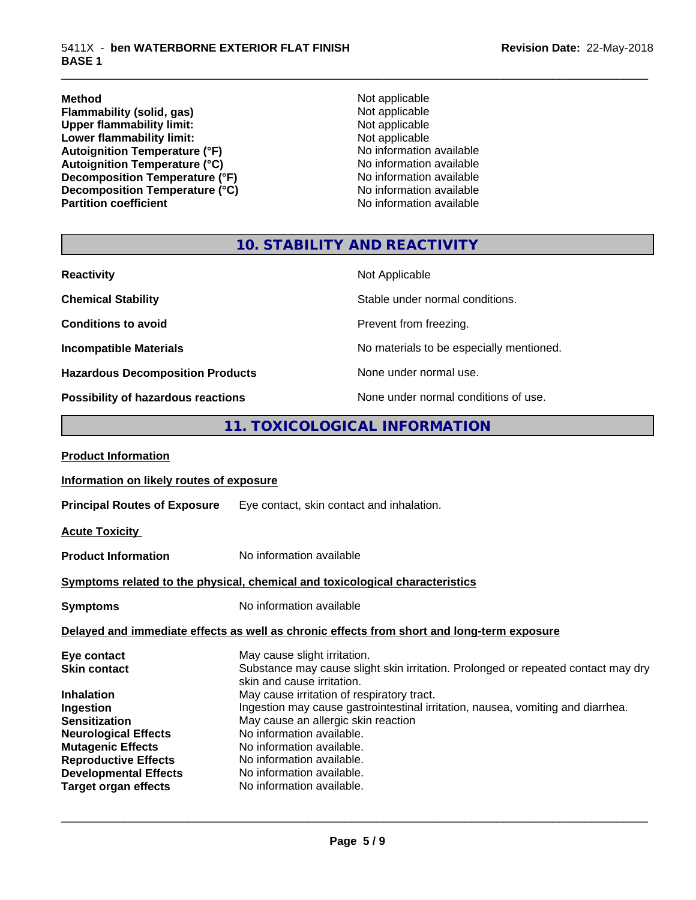**Method** Not applicable **Flammability (solid, gas)** Not applicable<br>
Upper flammability limit:<br>
Not applicable<br>
Not applicable Upper flammability limit:<br>
Lower flammability limit:<br>
Not applicable<br>
Not applicable **Lower flammability limit:**<br> **Autoignition Temperature (°F)**<br>
Mo information available Autoignition Temperature (°F)<br>
Autoignition Temperature (°C)<br>
No information available Autoignition Temperature (°C)<br>
Decomposition Temperature (°F)<br>
No information available **Decomposition Temperature (°F)**<br> **Decomposition Temperature (°C)** No information available<br>
No information available **Decomposition Temperature (°C)**<br>Partition coefficient

**No information available** 

\_\_\_\_\_\_\_\_\_\_\_\_\_\_\_\_\_\_\_\_\_\_\_\_\_\_\_\_\_\_\_\_\_\_\_\_\_\_\_\_\_\_\_\_\_\_\_\_\_\_\_\_\_\_\_\_\_\_\_\_\_\_\_\_\_\_\_\_\_\_\_\_\_\_\_\_\_\_\_\_\_\_\_\_\_\_\_\_\_\_\_\_\_

## **10. STABILITY AND REACTIVITY**

| <b>Reactivity</b>                         | Not Applicable                           |
|-------------------------------------------|------------------------------------------|
| <b>Chemical Stability</b>                 | Stable under normal conditions.          |
| <b>Conditions to avoid</b>                | Prevent from freezing.                   |
| <b>Incompatible Materials</b>             | No materials to be especially mentioned. |
| <b>Hazardous Decomposition Products</b>   | None under normal use.                   |
| <b>Possibility of hazardous reactions</b> | None under normal conditions of use.     |

## **11. TOXICOLOGICAL INFORMATION**

| Information on likely routes of exposure                                                                                                                                                                                                                                                                              |  |  |
|-----------------------------------------------------------------------------------------------------------------------------------------------------------------------------------------------------------------------------------------------------------------------------------------------------------------------|--|--|
| Eye contact, skin contact and inhalation.                                                                                                                                                                                                                                                                             |  |  |
|                                                                                                                                                                                                                                                                                                                       |  |  |
| No information available                                                                                                                                                                                                                                                                                              |  |  |
| Symptoms related to the physical, chemical and toxicological characteristics                                                                                                                                                                                                                                          |  |  |
| No information available                                                                                                                                                                                                                                                                                              |  |  |
| Delayed and immediate effects as well as chronic effects from short and long-term exposure                                                                                                                                                                                                                            |  |  |
| May cause slight irritation.<br>Substance may cause slight skin irritation. Prolonged or repeated contact may dry<br>skin and cause irritation.                                                                                                                                                                       |  |  |
| May cause irritation of respiratory tract.<br>Ingestion may cause gastrointestinal irritation, nausea, vomiting and diarrhea.<br>May cause an allergic skin reaction<br>No information available.<br>No information available.<br>No information available.<br>No information available.<br>No information available. |  |  |
|                                                                                                                                                                                                                                                                                                                       |  |  |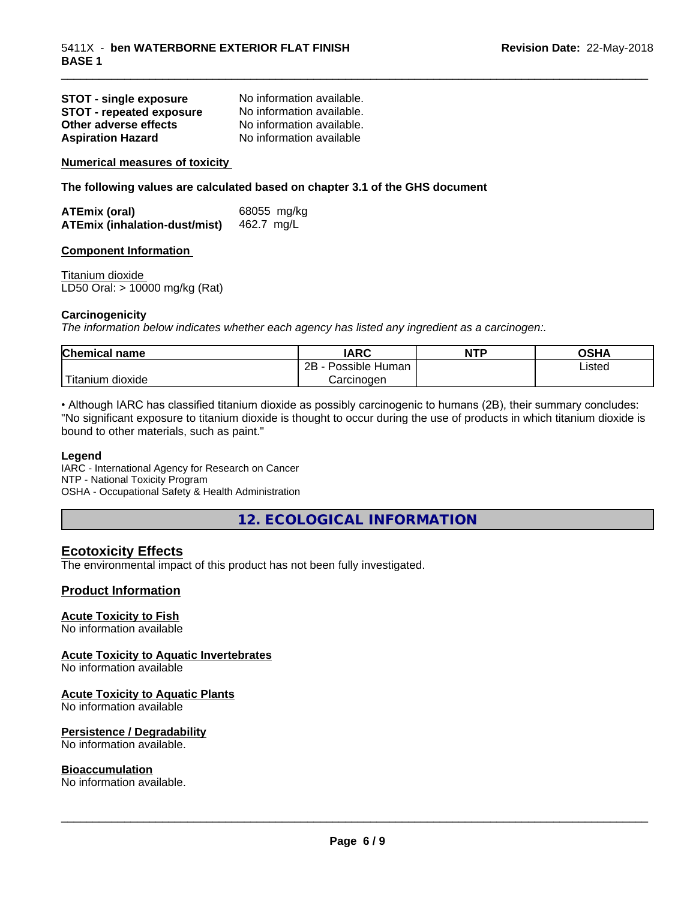| <b>STOT - single exposure</b>   | No information available. |
|---------------------------------|---------------------------|
| <b>STOT - repeated exposure</b> | No information available. |
| Other adverse effects           | No information available. |
| <b>Aspiration Hazard</b>        | No information available  |

**Numerical measures of toxicity**

**The following values are calculated based on chapter 3.1 of the GHS document**

| <b>ATEmix (oral)</b>          | 68055 mg/kg |
|-------------------------------|-------------|
| ATEmix (inhalation-dust/mist) | 462.7 mg/L  |

### **Component Information**

Titanium dioxide LD50 Oral: > 10000 mg/kg (Rat)

### **Carcinogenicity**

*The information below indicateswhether each agency has listed any ingredient as a carcinogen:.*

| <b>Chemical</b><br>name  | <b>IARC</b>                    | <b>NTP</b> | <b>OSHA</b> |
|--------------------------|--------------------------------|------------|-------------|
|                          | . .<br>2B<br>Possible<br>Human |            | Listed<br>. |
| .<br>dioxide<br>⊺itanium | Carcinogen                     |            |             |

\_\_\_\_\_\_\_\_\_\_\_\_\_\_\_\_\_\_\_\_\_\_\_\_\_\_\_\_\_\_\_\_\_\_\_\_\_\_\_\_\_\_\_\_\_\_\_\_\_\_\_\_\_\_\_\_\_\_\_\_\_\_\_\_\_\_\_\_\_\_\_\_\_\_\_\_\_\_\_\_\_\_\_\_\_\_\_\_\_\_\_\_\_

• Although IARC has classified titanium dioxide as possibly carcinogenic to humans (2B), their summary concludes: "No significant exposure to titanium dioxide is thought to occur during the use of products in which titanium dioxide is bound to other materials, such as paint."

#### **Legend**

IARC - International Agency for Research on Cancer NTP - National Toxicity Program OSHA - Occupational Safety & Health Administration

**12. ECOLOGICAL INFORMATION**

## **Ecotoxicity Effects**

The environmental impact of this product has not been fully investigated.

## **Product Information**

## **Acute Toxicity to Fish**

No information available

## **Acute Toxicity to Aquatic Invertebrates**

No information available

## **Acute Toxicity to Aquatic Plants**

No information available

## **Persistence / Degradability**

No information available.

#### **Bioaccumulation**

No information available.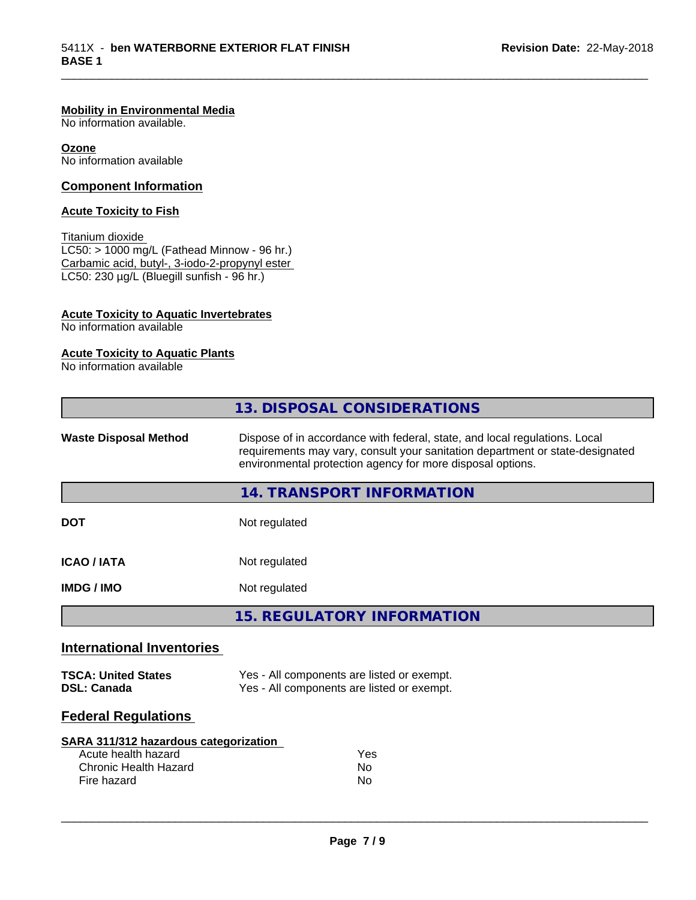## **Mobility in Environmental Media**

No information available.

**Ozone** No information available

## **Component Information**

## **Acute Toxicity to Fish**

Titanium dioxide  $LC50: > 1000$  mg/L (Fathead Minnow - 96 hr.) Carbamic acid, butyl-, 3-iodo-2-propynyl ester LC50: 230 µg/L (Bluegill sunfish - 96 hr.)

## **Acute Toxicity to Aquatic Invertebrates**

No information available

## **Acute Toxicity to Aquatic Plants**

No information available

|                                  | 13. DISPOSAL CONSIDERATIONS                                                                                                                                                                                               |
|----------------------------------|---------------------------------------------------------------------------------------------------------------------------------------------------------------------------------------------------------------------------|
| <b>Waste Disposal Method</b>     | Dispose of in accordance with federal, state, and local regulations. Local<br>requirements may vary, consult your sanitation department or state-designated<br>environmental protection agency for more disposal options. |
|                                  | 14. TRANSPORT INFORMATION                                                                                                                                                                                                 |
| <b>DOT</b>                       | Not regulated                                                                                                                                                                                                             |
| <b>ICAO/IATA</b>                 | Not regulated                                                                                                                                                                                                             |
| <b>IMDG/IMO</b>                  | Not regulated                                                                                                                                                                                                             |
|                                  | <b>15. REGULATORY INFORMATION</b>                                                                                                                                                                                         |
| <b>International Inventories</b> |                                                                                                                                                                                                                           |

\_\_\_\_\_\_\_\_\_\_\_\_\_\_\_\_\_\_\_\_\_\_\_\_\_\_\_\_\_\_\_\_\_\_\_\_\_\_\_\_\_\_\_\_\_\_\_\_\_\_\_\_\_\_\_\_\_\_\_\_\_\_\_\_\_\_\_\_\_\_\_\_\_\_\_\_\_\_\_\_\_\_\_\_\_\_\_\_\_\_\_\_\_

| <b>TSCA: United States</b> | Yes - All components are listed or exempt. |
|----------------------------|--------------------------------------------|
| <b>DSL: Canada</b>         | Yes - All components are listed or exempt. |

## **Federal Regulations**

| SARA 311/312 hazardous categorization |     |
|---------------------------------------|-----|
| Acute health hazard                   | Yes |
| Chronic Health Hazard                 | Nο  |
| Fire hazard                           | Nο  |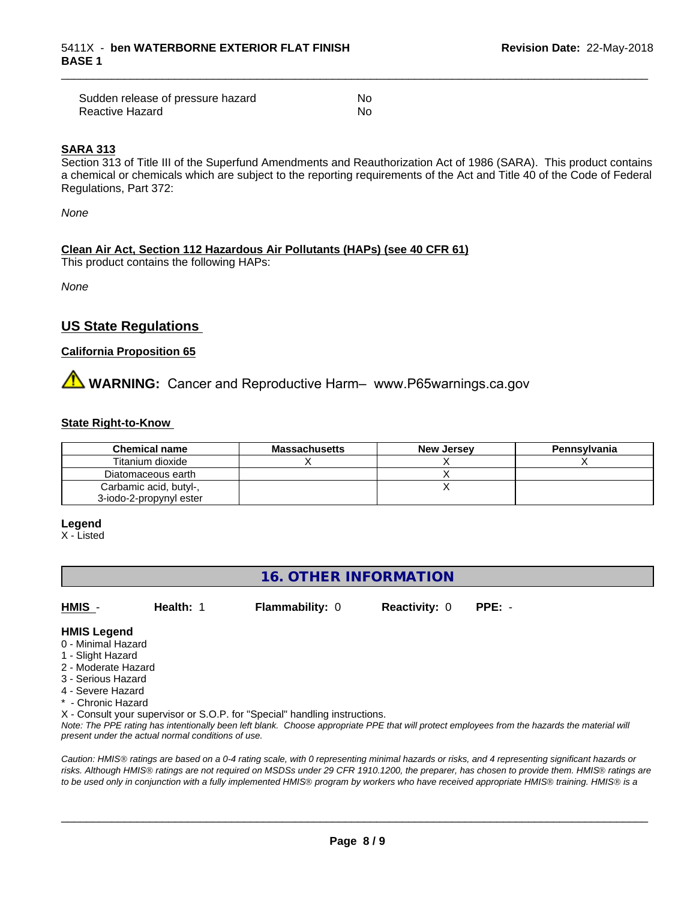| Sudden release of pressure hazard | No  |
|-----------------------------------|-----|
| Reactive Hazard                   | .No |

### **SARA 313**

Section 313 of Title III of the Superfund Amendments and Reauthorization Act of 1986 (SARA). This product contains a chemical or chemicals which are subject to the reporting requirements of the Act and Title 40 of the Code of Federal Regulations, Part 372:

\_\_\_\_\_\_\_\_\_\_\_\_\_\_\_\_\_\_\_\_\_\_\_\_\_\_\_\_\_\_\_\_\_\_\_\_\_\_\_\_\_\_\_\_\_\_\_\_\_\_\_\_\_\_\_\_\_\_\_\_\_\_\_\_\_\_\_\_\_\_\_\_\_\_\_\_\_\_\_\_\_\_\_\_\_\_\_\_\_\_\_\_\_

*None*

## **Clean Air Act,Section 112 Hazardous Air Pollutants (HAPs) (see 40 CFR 61)**

This product contains the following HAPs:

*None*

## **US State Regulations**

## **California Proposition 65**

# **AN** WARNING: Cancer and Reproductive Harm– www.P65warnings.ca.gov

### **State Right-to-Know**

| <b>Chemical name</b>    | <b>Massachusetts</b> | <b>New Jersey</b> | Pennsylvania |
|-------------------------|----------------------|-------------------|--------------|
| Titanium dioxide        |                      |                   |              |
| Diatomaceous earth      |                      |                   |              |
| Carbamic acid, butyl-,  |                      |                   |              |
| 3-iodo-2-propynyl ester |                      |                   |              |

#### **Legend**

X - Listed

## **16. OTHER INFORMATION**

**HMIS** - **Health:** 1 **Flammability:** 0 **Reactivity:** 0 **PPE:** -

## **HMIS Legend**

- 0 Minimal Hazard
- 1 Slight Hazard
- 2 Moderate Hazard
- 3 Serious Hazard
- 4 Severe Hazard
- Chronic Hazard

X - Consult your supervisor or S.O.P. for "Special" handling instructions.

*Note: The PPE rating has intentionally been left blank. Choose appropriate PPE that will protect employees from the hazards the material will present under the actual normal conditions of use.*

*Caution: HMISÒ ratings are based on a 0-4 rating scale, with 0 representing minimal hazards or risks, and 4 representing significant hazards or risks. Although HMISÒ ratings are not required on MSDSs under 29 CFR 1910.1200, the preparer, has chosen to provide them. HMISÒ ratings are to be used only in conjunction with a fully implemented HMISÒ program by workers who have received appropriate HMISÒ training. HMISÒ is a*